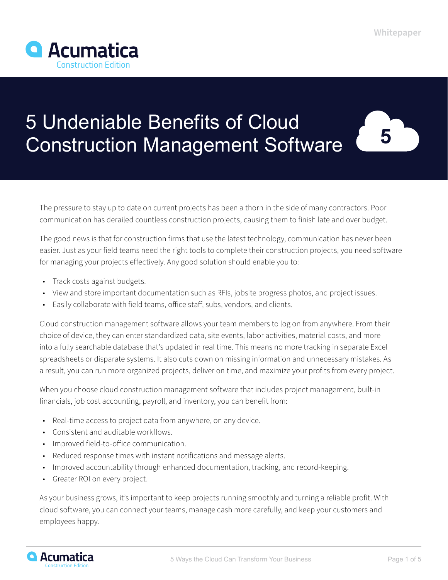5



# 5 Undeniable Benefits of Cloud Construction Management Software



The good news is that for construction firms that use the latest technology, communication has never been easier. Just as your field teams need the right tools to complete their construction projects, you need software for managing your projects effectively. Any good solution should enable you to:

- Track costs against budgets.
- View and store important documentation such as RFIs, jobsite progress photos, and project issues.
- Easily collaborate with field teams, office staff, subs, vendors, and clients.

Cloud construction management software allows your team members to log on from anywhere. From their choice of device, they can enter standardized data, site events, labor activities, material costs, and more into a fully searchable database that's updated in real time. This means no more tracking in separate Excel spreadsheets or disparate systems. It also cuts down on missing information and unnecessary mistakes. As a result, you can run more organized projects, deliver on time, and maximize your profits from every project.

When you choose cloud construction management software that includes project management, built-in financials, job cost accounting, payroll, and inventory, you can benefit from:

- Real-time access to project data from anywhere, on any device.
- Consistent and auditable workflows.
- Improved field-to-office communication.
- Reduced response times with instant notifications and message alerts.
- Improved accountability through enhanced documentation, tracking, and record-keeping.
- Greater ROI on every project.

As your business grows, it's important to keep projects running smoothly and turning a reliable profit. With cloud software, you can connect your teams, manage cash more carefully, and keep your customers and employees happy.

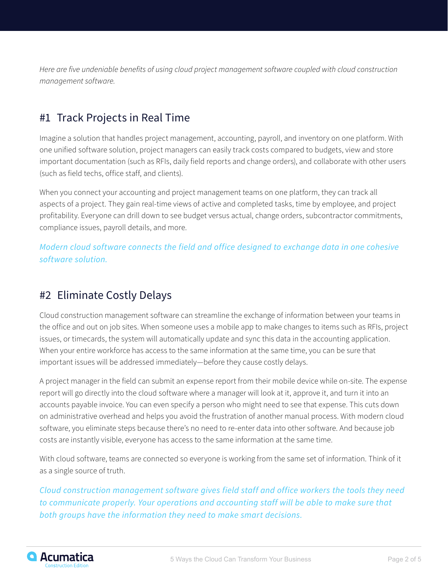*Here are five undeniable benefits of using cloud project management software coupled with cloud construction management software.*

# #1 Track Projects in Real Time

Imagine a solution that handles project management, accounting, payroll, and inventory on one platform. With one unified software solution, project managers can easily track costs compared to budgets, view and store important documentation (such as RFIs, daily field reports and change orders), and collaborate with other users (such as field techs, office staff, and clients).

When you connect your accounting and project management teams on one platform, they can track all aspects of a project. They gain real-time views of active and completed tasks, time by employee, and project profitability. Everyone can drill down to see budget versus actual, change orders, subcontractor commitments, compliance issues, payroll details, and more.

*Modern cloud software connects the field and office designed to exchange data in one cohesive software solution.*

## #2 Eliminate Costly Delays

Cloud construction management software can streamline the exchange of information between your teams in the office and out on job sites. When someone uses a mobile app to make changes to items such as RFIs, project issues, or timecards, the system will automatically update and sync this data in the accounting application. When your entire workforce has access to the same information at the same time, you can be sure that important issues will be addressed immediately—before they cause costly delays.

A project manager in the field can submit an expense report from their mobile device while on-site. The expense report will go directly into the cloud software where a manager will look at it, approve it, and turn it into an accounts payable invoice. You can even specify a person who might need to see that expense. This cuts down on administrative overhead and helps you avoid the frustration of another manual process. With modern cloud software, you eliminate steps because there's no need to re-enter data into other software. And because job costs are instantly visible, everyone has access to the same information at the same time.

With cloud software, teams are connected so everyone is working from the same set of information. Think of it as a single source of truth.

*Cloud construction management software gives field staff and office workers the tools they need to communicate properly. Your operations and accounting staff will be able to make sure that both groups have the information they need to make smart decisions.*

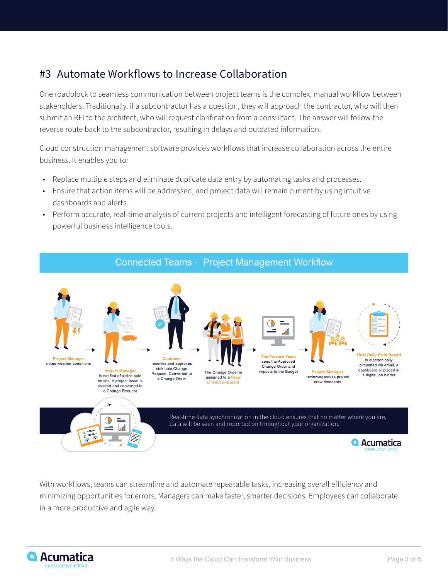#### #3 Automate Workflows to Increase Collaboration

One roadblock to seamless communication between project teams is the complex, manual workflow between stakeholders. Traditionally, if a subcontractor has a question, they will approach the contractor, who will then submit an RFI to the architect, who will request clarification from a consultant. The answer will follow the reverse route back to the subcontractor, resulting in delays and outdated information.

Cloud construction management software provides workflows that increase collaboration across the entire business. It enables you to:

- Replace multiple steps and eliminate duplicate data entry by automating tasks and processes.
- Ensure that action items will be addressed, and project data will remain current by using intuitive dashboards and alerts.
- Perform accurate, real-time analysis of current projects and intelligent forecasting of future ones by using powerful business intelligence tools.



With workflows, teams can streamline and automate repeatable tasks, increasing overall efficiency and minimizing opportunities for errors. Managers can make faster, smarter decisions. Employees can collaborate in a more productive and agile way.

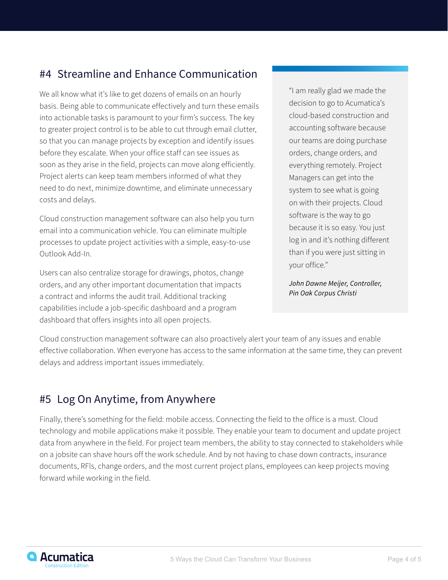#### #4 Streamline and Enhance Communication

We all know what it's like to get dozens of emails on an hourly basis. Being able to communicate effectively and turn these emails into actionable tasks is paramount to your firm's success. The key to greater project control is to be able to cut through email clutter, so that you can manage projects by exception and identify issues before they escalate. When your office staff can see issues as soon as they arise in the field, projects can move along efficiently. Project alerts can keep team members informed of what they need to do next, minimize downtime, and eliminate unnecessary costs and delays.

Cloud construction management software can also help you turn email into a communication vehicle. You can eliminate multiple processes to update project activities with a simple, easy-to-use Outlook Add-In.

Users can also centralize storage for drawings, photos, change orders, and any other important documentation that impacts a contract and informs the audit trail. Additional tracking capabilities include a job-specific dashboard and a program dashboard that offers insights into all open projects.

"I am really glad we made the decision to go to Acumatica's cloud-based construction and accounting software because our teams are doing purchase orders, change orders, and everything remotely. Project Managers can get into the system to see what is going on with their projects. Cloud software is the way to go because it is so easy. You just log in and it's nothing different than if you were just sitting in your office."

*John Dawne Meijer, Controller, Pin Oak Corpus Christi*

Cloud construction management software can also proactively alert your team of any issues and enable effective collaboration. When everyone has access to the same information at the same time, they can prevent delays and address important issues immediately.

## #5 Log On Anytime, from Anywhere

Finally, there's something for the field: mobile access. Connecting the field to the office is a must. Cloud technology and mobile applications make it possible. They enable your team to document and update project data from anywhere in the field. For project team members, the ability to stay connected to stakeholders while on a jobsite can shave hours off the work schedule. And by not having to chase down contracts, insurance documents, RFls, change orders, and the most current project plans, employees can keep projects moving forward while working in the field.